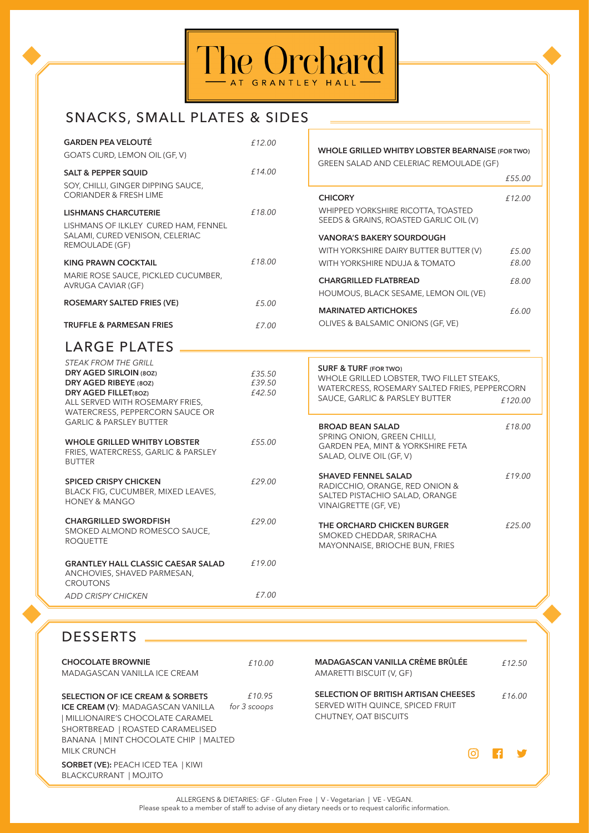

# SNACKS, SMALL PLATES & SIDES

| <b>GARDEN PEA VELOUTÉ</b><br>GOATS CURD, LEMON OIL (GF, V)                                                                                                                                     | £12.00                 | WHOLE GRILLED WHITBY LOBSTER BEARNAISE (FOR TWO)                                                  |         |
|------------------------------------------------------------------------------------------------------------------------------------------------------------------------------------------------|------------------------|---------------------------------------------------------------------------------------------------|---------|
| <b>SALT &amp; PEPPER SQUID</b><br>SOY, CHILLI, GINGER DIPPING SAUCE,                                                                                                                           | £14.00                 | GREEN SALAD AND CELERIAC REMOULADE (GF)                                                           | £55.00  |
| <b>CORIANDER &amp; FRESH LIME</b>                                                                                                                                                              |                        | <b>CHICORY</b>                                                                                    | £12.00  |
| <b>LISHMANS CHARCUTERIE</b><br>LISHMANS OF ILKLEY CURED HAM, FENNEL                                                                                                                            | £18.00                 | WHIPPED YORKSHIRE RICOTTA, TOASTED<br>SEEDS & GRAINS, ROASTED GARLIC OIL (V)                      |         |
| SALAMI, CURED VENISON, CELERIAC<br>REMOULADE (GF)                                                                                                                                              |                        | <b>VANORA'S BAKERY SOURDOUGH</b>                                                                  |         |
|                                                                                                                                                                                                |                        | WITH YORKSHIRE DAIRY BUTTER BUTTER (V)                                                            | £5.00   |
| <b>KING PRAWN COCKTAIL</b>                                                                                                                                                                     | £18.00                 | WITH YORKSHIRE NDUJA & TOMATO                                                                     | £8.00   |
| MARIE ROSE SAUCE, PICKLED CUCUMBER,<br>AVRUGA CAVIAR (GF)                                                                                                                                      |                        | <b>CHARGRILLED FLATBREAD</b>                                                                      | £8.00   |
| ROSEMARY SALTED FRIES (VE)                                                                                                                                                                     | £5.00                  | HOUMOUS, BLACK SESAME, LEMON OIL (VE)                                                             |         |
|                                                                                                                                                                                                |                        | <b>MARINATED ARTICHOKES</b>                                                                       | £6.00   |
| <b>TRUFFLE &amp; PARMESAN FRIES</b>                                                                                                                                                            | £7.00                  | OLIVES & BALSAMIC ONIONS (GF, VE)                                                                 |         |
| LARGE PLATES                                                                                                                                                                                   |                        |                                                                                                   |         |
| <b>STEAK FROM THE GRILL</b><br>DRY AGED SIRLOIN (80Z)<br>DRY AGED RIBEYE (80Z)                                                                                                                 | £35.50<br>£39.50       | <b>SURF &amp; TURF (FOR TWO)</b><br>WHOLE GRILLED LOBSTER, TWO FILLET STEAKS,                     |         |
| DRY AGED FILLET(80Z)<br>ALL SERVED WITH ROSEMARY FRIES,<br>WATERCRESS, PEPPERCORN SAUCE OR                                                                                                     | £42.50                 | WATERCRESS, ROSEMARY SALTED FRIES, PEPPERCORN<br>SAUCE, GARLIC & PARSLEY BUTTER                   | £120.00 |
| <b>GARLIC &amp; PARSLEY BUTTER</b>                                                                                                                                                             |                        | <b>BROAD BEAN SALAD</b><br>SPRING ONION, GREEN CHILLI,                                            | £18.00  |
| <b>WHOLE GRILLED WHITBY LOBSTER</b><br>FRIES, WATERCRESS, GARLIC & PARSLEY<br><b>BUTTER</b>                                                                                                    | £55.00                 | GARDEN PEA, MINT & YORKSHIRE FETA<br>SALAD, OLIVE OIL (GF, V)                                     |         |
| <b>SPICED CRISPY CHICKEN</b>                                                                                                                                                                   | £29.00                 | <b>SHAVED FENNEL SALAD</b>                                                                        | £19.00  |
| BLACK FIG, CUCUMBER, MIXED LEAVES,<br><b>HONEY &amp; MANGO</b>                                                                                                                                 |                        | RADICCHIO, ORANGE, RED ONION &<br>SALTED PISTACHIO SALAD, ORANGE<br>VINAIGRETTE (GF, VE)          |         |
| <b>CHARGRILLED SWORDFISH</b><br>SMOKED ALMOND ROMESCO SAUCE,<br><b>ROQUETTE</b>                                                                                                                | £29.00                 | THE ORCHARD CHICKEN BURGER<br>SMOKED CHEDDAR, SRIRACHA<br>MAYONNAISE, BRIOCHE BUN, FRIES          | £25.00  |
| <b>GRANTLEY HALL CLASSIC CAESAR SALAD</b><br>ANCHOVIES, SHAVED PARMESAN,<br><b>CROUTONS</b>                                                                                                    | £19.00                 |                                                                                                   |         |
| <b>ADD CRISPY CHICKEN</b>                                                                                                                                                                      | £7.00                  |                                                                                                   |         |
|                                                                                                                                                                                                |                        |                                                                                                   |         |
| <b>DESSERTS</b>                                                                                                                                                                                |                        |                                                                                                   |         |
| <b>CHOCOLATE BROWNIE</b>                                                                                                                                                                       | £10.00                 | MADAGASCAN VANILLA CRÈME BRÛLÉE                                                                   | £12.50  |
| MADAGASCAN VANILLA ICE CREAM                                                                                                                                                                   |                        | AMARETTI BISCUIT (V, GF)                                                                          |         |
| SELECTION OF ICE CREAM & SORBETS<br><b>ICE CREAM (V): MADAGASCAN VANILLA</b><br>  MILLIONAIRE'S CHOCOLATE CARAMEL<br>SHORTBREAD   ROASTED CARAMELISED<br>BANANA   MINT CHOCOLATE CHIP   MALTED | £10.95<br>for 3 scoops | SELECTION OF BRITISH ARTISAN CHEESES<br>SERVED WITH QUINCE, SPICED FRUIT<br>CHUTNEY, OAT BISCUITS | £16.00  |

BLACKCURRANT | MOJITO

**SORBET (VE):** PEACH ICED TEA | KIWI

MILK CRUNCH

ALLERGENS & DIETARIES: GF - Gluten Free | V - Vegetarian | VE - VEGAN. Please speak to a member of staff to advise of any dietary needs or to request calorific information.  $\odot$ 

 $\vert f \vert$ 

Y